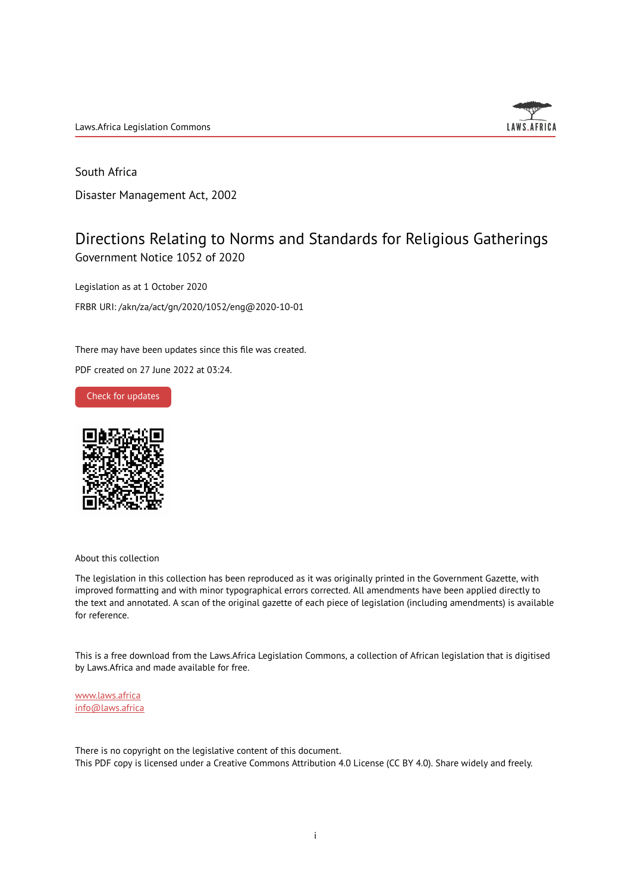Laws.Africa Legislation Commons



## South Africa

Disaster Management Act, 2002

## Directions Relating to Norms and Standards for Religious Gatherings Government Notice 1052 of 2020

Legislation as at 1 October 2020 FRBR URI: /akn/za/act/gn/2020/1052/eng@2020-10-01

There may have been updates since this file was created.

PDF created on 27 June 2022 at 03:24.





About this collection

The legislation in this collection has been reproduced as it was originally printed in the Government Gazette, with improved formatting and with minor typographical errors corrected. All amendments have been applied directly to the text and annotated. A scan of the original gazette of each piece of legislation (including amendments) is available for reference.

This is a free download from the Laws.Africa Legislation Commons, a collection of African legislation that is digitised by Laws.Africa and made available for free.

[www.laws.africa](https://www.laws.africa) [info@laws.africa](mailto:info@laws.africa)

There is no copyright on the legislative content of this document. This PDF copy is licensed under a Creative Commons Attribution 4.0 License (CC BY 4.0). Share widely and freely.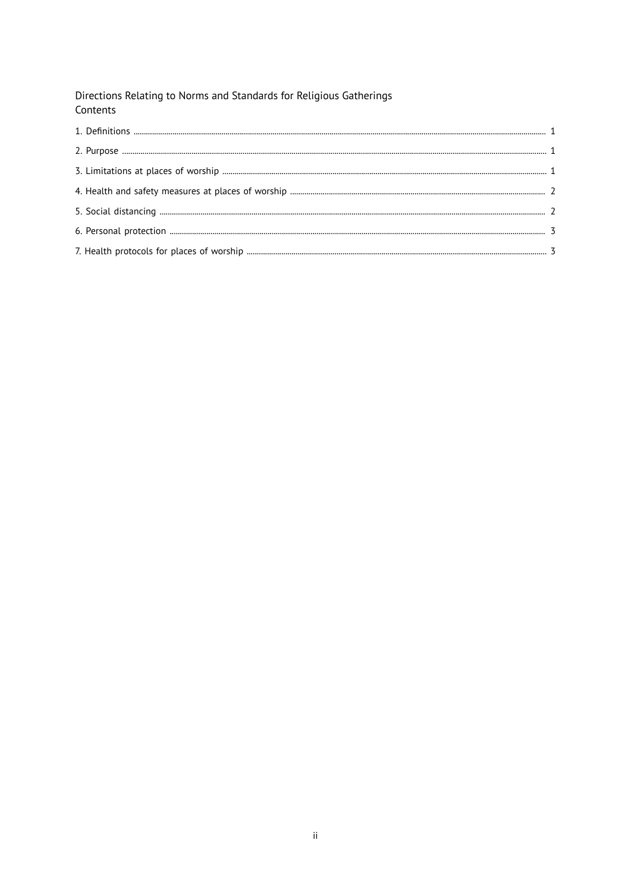Directions Relating to Norms and Standards for Religious Gatherings Contents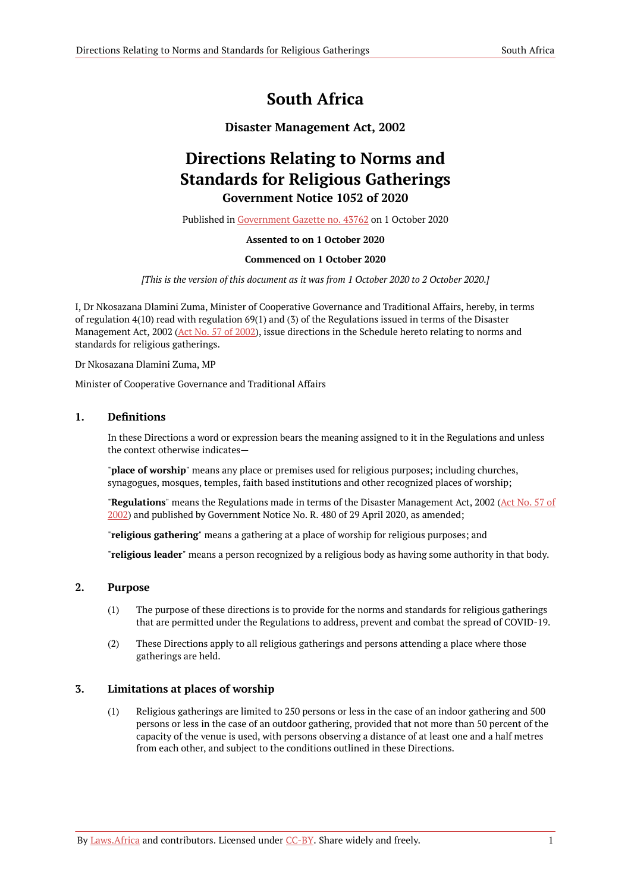# **South Africa**

## **Disaster Management Act, 2002**

# **Directions Relating to Norms and Standards for Religious Gatherings Government Notice 1052 of 2020**

Published in [Government](https://commons.laws.africa/akn/za/act/gn/2020/1052/media/publication/za-act-gn-2020-1052-publication-document.pdf) Gazette no. 43762 on 1 October 2020

#### **Assented to on 1 October 2020**

#### **Commenced on 1 October 2020**

*[This is the version of this document as it was from 1 October 2020 to 2 October 2020.]*

I, Dr Nkosazana Dlamini Zuma, Minister of Cooperative Governance and Traditional Affairs, hereby, in terms of regulation 4(10) read with regulation 69(1) and (3) of the Regulations issued in terms of the Disaster Management Act, 2002 (Act No. 57 of [2002](https://resolver.laws.africa/resolve/akn/za/act/2002/57)), issue directions in the Schedule hereto relating to norms and standards for religious gatherings.

Dr Nkosazana Dlamini Zuma, MP

Minister of Cooperative Governance and Traditional Affairs

#### <span id="page-2-0"></span>**1. Definitions**

In these Directions a word or expression bears the meaning assigned to it in the Regulations and unless the context otherwise indicates—

"**place of worship**" means any place or premises used for religious purposes; including churches, synagogues, mosques, temples, faith based institutions and other recognized places of worship;

"**Regulations**" means the Regulations made in terms of the Disaster Management Act, 2002 (Act [No.](https://resolver.laws.africa/resolve/akn/za/act/2002/57) 57 of [2002\)](https://resolver.laws.africa/resolve/akn/za/act/2002/57) and published by Government Notice No. R. 480 of 29 April 2020, as amended;

"**religious gathering**" means a gathering at a place of worship for religious purposes; and

"**religious leader**" means a person recognized by a religious body as having some authority in that body.

#### <span id="page-2-1"></span>**2. Purpose**

- (1) The purpose of these directions is to provide for the norms and standards for religious gatherings that are permitted under the Regulations to address, prevent and combat the spread of COVID-19.
- (2) These Directions apply to all religious gatherings and persons attending a place where those gatherings are held.

#### <span id="page-2-2"></span>**3. Limitations at places of worship**

(1) Religious gatherings are limited to 250 persons or less in the case of an indoor gathering and 500 persons or less in the case of an outdoor gathering, provided that not more than 50 percent of the capacity of the venue is used, with persons observing a distance of at least one and a half metres from each other, and subject to the conditions outlined in these Directions.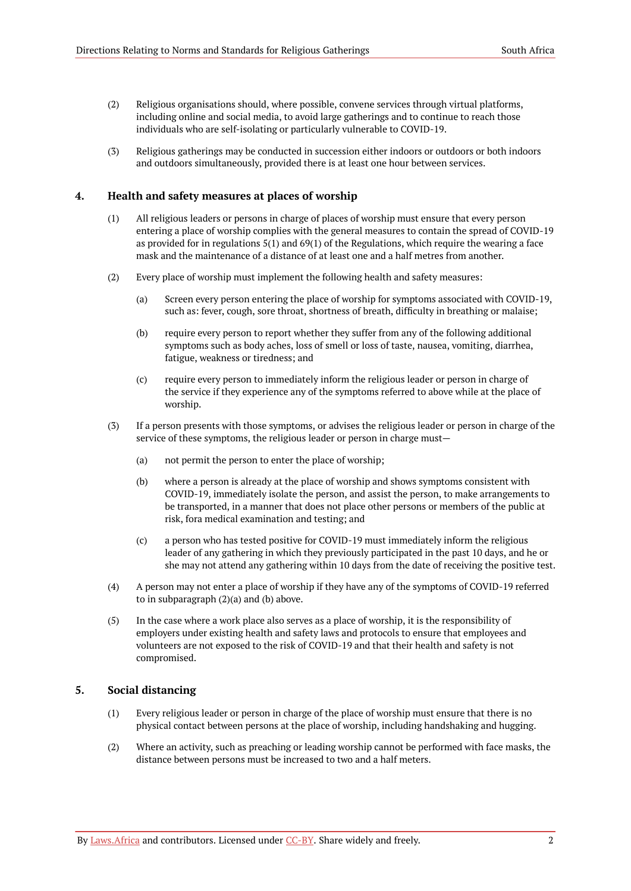- (2) Religious organisations should, where possible, convene services through virtual platforms, including online and social media, to avoid large gatherings and to continue to reach those individuals who are self-isolating or particularly vulnerable to COVID-19.
- (3) Religious gatherings may be conducted in succession either indoors or outdoors or both indoors and outdoors simultaneously, provided there is at least one hour between services.

#### <span id="page-3-0"></span>**4. Health and safety measures at places of worship**

- (1) All religious leaders or persons in charge of places of worship must ensure that every person entering a place of worship complies with the general measures to contain the spread of COVID-19 as provided for in regulations  $5(1)$  and  $69(1)$  of the Regulations, which require the wearing a face mask and the maintenance of a distance of at least one and a half metres from another.
- (2) Every place of worship must implement the following health and safety measures:
	- (a) Screen every person entering the place of worship for symptoms associated with COVID-19, such as: fever, cough, sore throat, shortness of breath, difficulty in breathing or malaise;
	- (b) require every person to report whether they suffer from any of the following additional symptoms such as body aches, loss of smell or loss of taste, nausea, vomiting, diarrhea, fatigue, weakness or tiredness; and
	- (c) require every person to immediately inform the religious leader or person in charge of the service if they experience any of the symptoms referred to above while at the place of worship.
- (3) If a person presents with those symptoms, or advises the religious leader or person in charge of the service of these symptoms, the religious leader or person in charge must—
	- (a) not permit the person to enter the place of worship;
	- (b) where a person is already at the place of worship and shows symptoms consistent with COVID-19, immediately isolate the person, and assist the person, to make arrangements to be transported, in a manner that does not place other persons or members of the public at risk, fora medical examination and testing; and
	- (c) a person who has tested positive for COVID-19 must immediately inform the religious leader of any gathering in which they previously participated in the past 10 days, and he or she may not attend any gathering within 10 days from the date of receiving the positive test.
- (4) A person may not enter a place of worship if they have any of the symptoms of COVID-19 referred to in subparagraph (2)(a) and (b) above.
- (5) In the case where a work place also serves as a place of worship, it is the responsibility of employers under existing health and safety laws and protocols to ensure that employees and volunteers are not exposed to the risk of COVID-19 and that their health and safety is not compromised.

#### <span id="page-3-1"></span>**5. Social distancing**

- (1) Every religious leader or person in charge of the place of worship must ensure that there is no physical contact between persons at the place of worship, including handshaking and hugging.
- (2) Where an activity, such as preaching or leading worship cannot be performed with face masks, the distance between persons must be increased to two and a half meters.